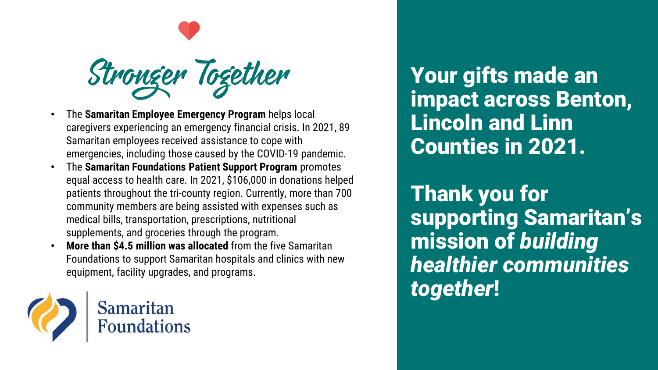

- The **Samaritan Employee Emergency Program** helps local caregivers experiencing an emergency financial crisis. In 2021, 89 Samaritan employees received assistance to cope with emergencies, including those caused by the COVID-19 pandemic.
- The **Samaritan Foundations Patient Support Program** promotes equal access to health care. In 2021, \$106,000 in donations helped patients throughout the tri-county region. Currently, more than 700 community members are being assisted with expenses such as medical bills, transportation, prescriptions, nutritional supplements, and groceries through the program.
- **More than \$4.5 million was allocated** from the five Samaritan Foundations to support Samaritan hospitals and clinics with new equipment, facility upgrades, and programs.



Your gifts made an impact across Benton, Lincoln and Linn Counties in 2021.

Thank you for supporting Samaritan's mission of *building healthier communities together*!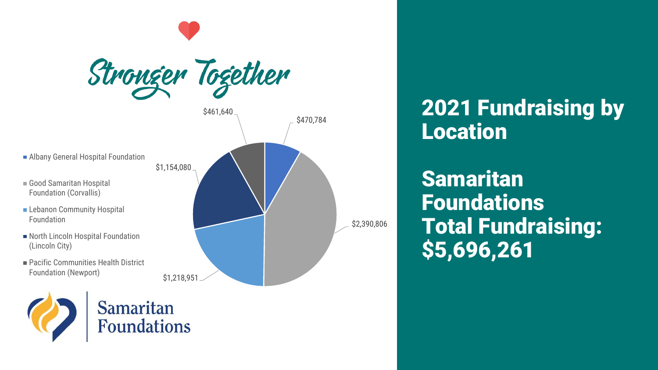

2021 Fundraising by Location

Samaritan Foundations Total Fundraising: \$5,696,261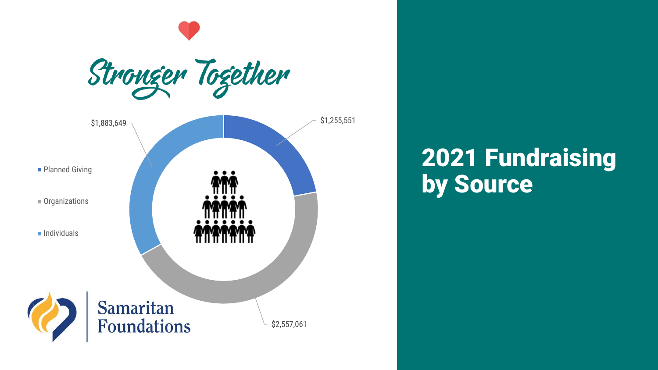

## 2021 Fundraising **by Source**